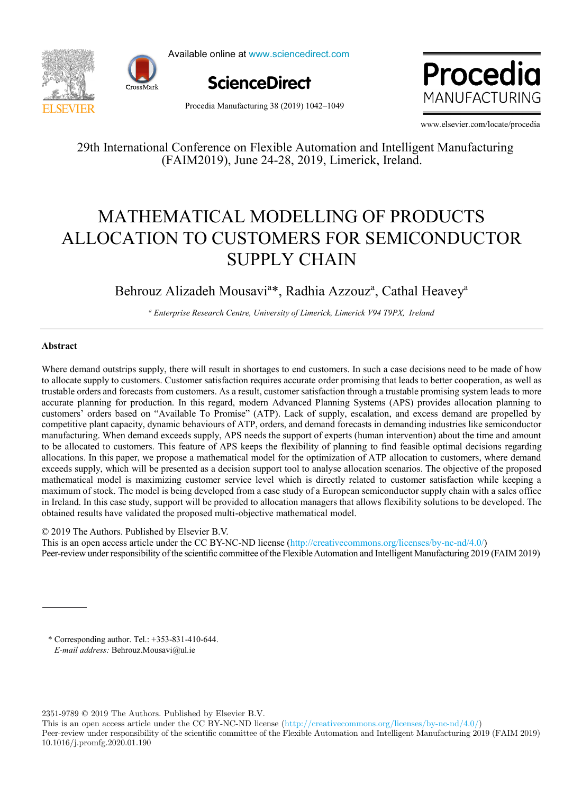



Available online at www.sciencedirect.com ScienceDirect



MANUFACTURING Procedia

Procedia Manufacturing 38 (2019) 1042–1049

www.elsevier.com/locate/procedia

 $(FAIM2019)$ , June 24-28, 2019, Limerick, Ireland. 29th International Conference on Flexible Automation and Intelligent Manufacturing

# ALLOCATION TO CUSTOMERS FOR SEMICONDUCTOR SUPPLY CHAIN MATHEMATICAL MODELLING OF PRODUCTS

Behrouz Alizadeh Mousavi<sup>a\*</sup>, Radhia Azzouz<sup>a</sup>, Cathal Heavey<sup>a</sup>

<sup>a</sup> Enterprise Research Centre, University of Limerick, Limerick V94 T9PX, Ireland *<sup>a</sup> Enterprise Research Centre, University of Limerick, Limerick V94 T9PX, Ireland*

## **Abstract**

Where demand outstrips supply, there will result in shortages to end customers. In such a case decisions need to be made of how to allocate supply to customers. Customer satisfaction requires accurate order promising that leads to better cooperation, as well as trustable orders and forecasts from customers. As a result, customer satisfaction through a trustable promising system leads to more accurate planning for production. In this regard, modern Advanced Planning Systems (APS) provides allocation planning to customers' orders based on "Available To Promise" (ATP). Lack of supply, escalation, and excess demand are propelled by competitive plant capacity, dynamic behaviours of ATP, orders, and demand forecasts in demanding industries like semiconductor manufacturing. When demand exceeds supply, APS needs the support of experts (human intervention) about the time and amount to be allocated to customers. This feature of APS keeps the flexibility of planning to find feasible optimal decisions regarding allocations. In this paper, we propose a mathematical model for the optimization of ATP allocation to customers, where demand exceeds supply, which will be presented as a decision support tool to analyse allocation scenarios. The objective of the proposed mathematical model is maximizing customer service level which is directly related to customer satisfaction while keeping a maximum of stock. The model is being developed from a case study of a European semiconductor supply chain with a sales office in Ireland. In this case study, support will be provided to allocation managers that allows flexibility solutions to be developed. The obtained results have validated the proposed multi-objective mathematical model.

 $© 2019$  The Authors. Published by Elsevier B.V.

This is an open access article under the CC BY-NC-ND license (http://creativecommons.org/licenses/by-nc-nd/4.0/) This is an open access article under the CC B T-NC-ND ficense (http://creativecommons.org/ncenses/by-nc-nd/4.0/)<br>Peer-review under responsibility of the scientific committee of the Flexible Automation and Intelligent Manuf © 2019 The Authors, Published by Elsevier B.V. Peer review under the responsibility of the scientific committee of the Flexible Automation and Intelligent Manufacturing 2019

\* Corresponding author. Tel.: +353-831-410-644. *E-mail address:* Behrouz.Mousavi@ul.ie 2351-9789 © 2019 The Authors, Published by Elsevier B.V.

2351-9789 © 2019 The Authors. Published by Elsevier B.V.

This is an open access article under the CC BY-NC-ND license (http://creativecommons.org/licenses/by-nc-nd/4.0/) Peer-review under responsibility of the scientific committee of the Flexible Automation and Intelligent Manufacturing 2019 (FAIM 2019) 10.1016/j.promfg.2020.01.190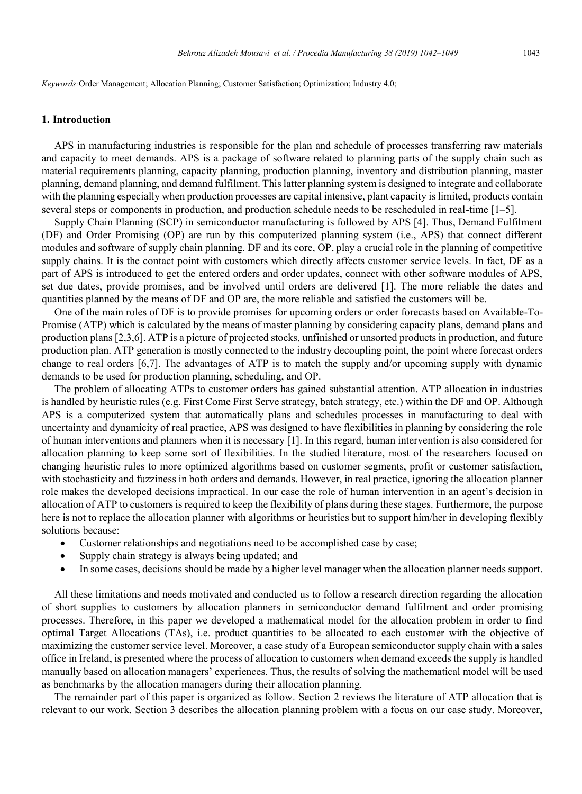*Keywords:*Order Management; Allocation Planning; Customer Satisfaction; Optimization; Industry 4.0;

#### **1. Introduction**

APS in manufacturing industries is responsible for the plan and schedule of processes transferring raw materials and capacity to meet demands. APS is a package of software related to planning parts of the supply chain such as material requirements planning, capacity planning, production planning, inventory and distribution planning, master planning, demand planning, and demand fulfilment. This latter planning system is designed to integrate and collaborate with the planning especially when production processes are capital intensive, plant capacity is limited, products contain several steps or components in production, and production schedule needs to be rescheduled in real-time [1–5].

Supply Chain Planning (SCP) in semiconductor manufacturing is followed by APS [4]. Thus, Demand Fulfilment (DF) and Order Promising (OP) are run by this computerized planning system (i.e., APS) that connect different modules and software of supply chain planning. DF and its core, OP, play a crucial role in the planning of competitive supply chains. It is the contact point with customers which directly affects customer service levels. In fact, DF as a part of APS is introduced to get the entered orders and order updates, connect with other software modules of APS, set due dates, provide promises, and be involved until orders are delivered [1]. The more reliable the dates and quantities planned by the means of DF and OP are, the more reliable and satisfied the customers will be.

One of the main roles of DF is to provide promises for upcoming orders or order forecasts based on Available-To-Promise (ATP) which is calculated by the means of master planning by considering capacity plans, demand plans and production plans [2,3,6]. ATP is a picture of projected stocks, unfinished or unsorted products in production, and future production plan. ATP generation is mostly connected to the industry decoupling point, the point where forecast orders change to real orders [6,7]. The advantages of ATP is to match the supply and/or upcoming supply with dynamic demands to be used for production planning, scheduling, and OP.

The problem of allocating ATPs to customer orders has gained substantial attention. ATP allocation in industries is handled by heuristic rules (e.g. First Come First Serve strategy, batch strategy, etc.) within the DF and OP. Although APS is a computerized system that automatically plans and schedules processes in manufacturing to deal with uncertainty and dynamicity of real practice, APS was designed to have flexibilities in planning by considering the role of human interventions and planners when it is necessary [1]. In this regard, human intervention is also considered for allocation planning to keep some sort of flexibilities. In the studied literature, most of the researchers focused on changing heuristic rules to more optimized algorithms based on customer segments, profit or customer satisfaction, with stochasticity and fuzziness in both orders and demands. However, in real practice, ignoring the allocation planner role makes the developed decisions impractical. In our case the role of human intervention in an agent's decision in allocation of ATP to customers is required to keep the flexibility of plans during these stages. Furthermore, the purpose here is not to replace the allocation planner with algorithms or heuristics but to support him/her in developing flexibly solutions because:

- Customer relationships and negotiations need to be accomplished case by case;
- Supply chain strategy is always being updated; and
- In some cases, decisions should be made by a higher level manager when the allocation planner needs support.

All these limitations and needs motivated and conducted us to follow a research direction regarding the allocation of short supplies to customers by allocation planners in semiconductor demand fulfilment and order promising processes. Therefore, in this paper we developed a mathematical model for the allocation problem in order to find optimal Target Allocations (TAs), i.e. product quantities to be allocated to each customer with the objective of maximizing the customer service level. Moreover, a case study of a European semiconductor supply chain with a sales office in Ireland, is presented where the process of allocation to customers when demand exceeds the supply is handled manually based on allocation managers' experiences. Thus, the results of solving the mathematical model will be used as benchmarks by the allocation managers during their allocation planning.

The remainder part of this paper is organized as follow. Section 2 reviews the literature of ATP allocation that is relevant to our work. Section 3 describes the allocation planning problem with a focus on our case study. Moreover,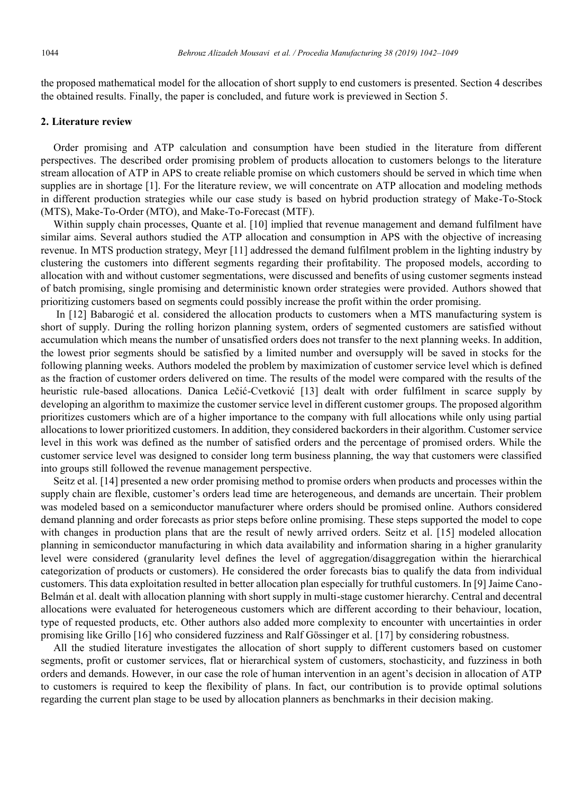the proposed mathematical model for the allocation of short supply to end customers is presented. Section 4 describes the obtained results. Finally, the paper is concluded, and future work is previewed in Section 5.

### **2. Literature review**

Order promising and ATP calculation and consumption have been studied in the literature from different perspectives. The described order promising problem of products allocation to customers belongs to the literature stream allocation of ATP in APS to create reliable promise on which customers should be served in which time when supplies are in shortage [1]. For the literature review, we will concentrate on ATP allocation and modeling methods in different production strategies while our case study is based on hybrid production strategy of Make-To-Stock (MTS), Make-To-Order (MTO), and Make-To-Forecast (MTF).

Within supply chain processes, Quante et al. [10] implied that revenue management and demand fulfilment have similar aims. Several authors studied the ATP allocation and consumption in APS with the objective of increasing revenue. In MTS production strategy, Meyr [11] addressed the demand fulfilment problem in the lighting industry by clustering the customers into different segments regarding their profitability. The proposed models, according to allocation with and without customer segmentations, were discussed and benefits of using customer segments instead of batch promising, single promising and deterministic known order strategies were provided. Authors showed that prioritizing customers based on segments could possibly increase the profit within the order promising.

In [12] Babarogić et al. considered the allocation products to customers when a MTS manufacturing system is short of supply. During the rolling horizon planning system, orders of segmented customers are satisfied without accumulation which means the number of unsatisfied orders does not transfer to the next planning weeks. In addition, the lowest prior segments should be satisfied by a limited number and oversupply will be saved in stocks for the following planning weeks. Authors modeled the problem by maximization of customer service level which is defined as the fraction of customer orders delivered on time. The results of the model were compared with the results of the heuristic rule-based allocations. Danica Lečić-Cvetković [13] dealt with order fulfilment in scarce supply by developing an algorithm to maximize the customer service level in different customer groups. The proposed algorithm prioritizes customers which are of a higher importance to the company with full allocations while only using partial allocations to lower prioritized customers. In addition, they considered backorders in their algorithm. Customer service level in this work was defined as the number of satisfied orders and the percentage of promised orders. While the customer service level was designed to consider long term business planning, the way that customers were classified into groups still followed the revenue management perspective.

Seitz et al. [14] presented a new order promising method to promise orders when products and processes within the supply chain are flexible, customer's orders lead time are heterogeneous, and demands are uncertain. Their problem was modeled based on a semiconductor manufacturer where orders should be promised online. Authors considered demand planning and order forecasts as prior steps before online promising. These steps supported the model to cope with changes in production plans that are the result of newly arrived orders. Seitz et al. [15] modeled allocation planning in semiconductor manufacturing in which data availability and information sharing in a higher granularity level were considered (granularity level defines the level of aggregation/disaggregation within the hierarchical categorization of products or customers). He considered the order forecasts bias to qualify the data from individual customers. This data exploitation resulted in better allocation plan especially for truthful customers. In [9] Jaime Cano-Belmán et al. dealt with allocation planning with short supply in multi-stage customer hierarchy. Central and decentral allocations were evaluated for heterogeneous customers which are different according to their behaviour, location, type of requested products, etc. Other authors also added more complexity to encounter with uncertainties in order promising like Grillo [16] who considered fuzziness and Ralf Gössinger et al. [17] by considering robustness.

All the studied literature investigates the allocation of short supply to different customers based on customer segments, profit or customer services, flat or hierarchical system of customers, stochasticity, and fuzziness in both orders and demands. However, in our case the role of human intervention in an agent's decision in allocation of ATP to customers is required to keep the flexibility of plans. In fact, our contribution is to provide optimal solutions regarding the current plan stage to be used by allocation planners as benchmarks in their decision making.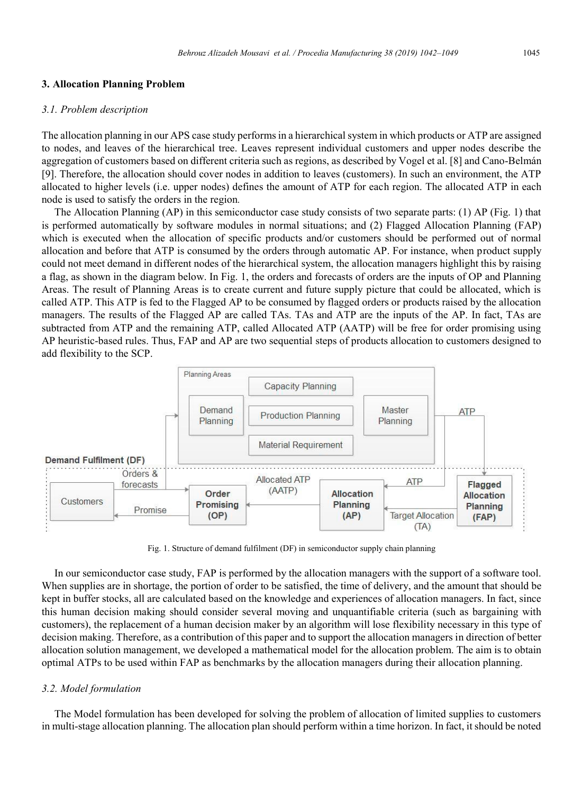### **3. Allocation Planning Problem**

#### *3.1. Problem description*

The allocation planning in our APS case study performs in a hierarchical system in which products or ATP are assigned to nodes, and leaves of the hierarchical tree. Leaves represent individual customers and upper nodes describe the aggregation of customers based on different criteria such as regions, as described by Vogel et al. [8] and Cano-Belmán [9]. Therefore, the allocation should cover nodes in addition to leaves (customers). In such an environment, the ATP allocated to higher levels (i.e. upper nodes) defines the amount of ATP for each region. The allocated ATP in each node is used to satisfy the orders in the region*.*

The Allocation Planning (AP) in this semiconductor case study consists of two separate parts: (1) AP (Fig. 1) that is performed automatically by software modules in normal situations; and (2) Flagged Allocation Planning (FAP) which is executed when the allocation of specific products and/or customers should be performed out of normal allocation and before that ATP is consumed by the orders through automatic AP. For instance, when product supply could not meet demand in different nodes of the hierarchical system, the allocation managers highlight this by raising a flag, as shown in the diagram below. In Fig. 1, the orders and forecasts of orders are the inputs of OP and Planning Areas. The result of Planning Areas is to create current and future supply picture that could be allocated, which is called ATP. This ATP is fed to the Flagged AP to be consumed by flagged orders or products raised by the allocation managers. The results of the Flagged AP are called TAs. TAs and ATP are the inputs of the AP. In fact, TAs are subtracted from ATP and the remaining ATP, called Allocated ATP (AATP) will be free for order promising using AP heuristic-based rules. Thus, FAP and AP are two sequential steps of products allocation to customers designed to add flexibility to the SCP.



Fig. 1. Structure of demand fulfilment (DF) in semiconductor supply chain planning

In our semiconductor case study, FAP is performed by the allocation managers with the support of a software tool. When supplies are in shortage, the portion of order to be satisfied, the time of delivery, and the amount that should be kept in buffer stocks, all are calculated based on the knowledge and experiences of allocation managers. In fact, since this human decision making should consider several moving and unquantifiable criteria (such as bargaining with customers), the replacement of a human decision maker by an algorithm will lose flexibility necessary in this type of decision making. Therefore, as a contribution of this paper and to support the allocation managers in direction of better allocation solution management, we developed a mathematical model for the allocation problem. The aim is to obtain optimal ATPs to be used within FAP as benchmarks by the allocation managers during their allocation planning.

## *3.2. Model formulation*

The Model formulation has been developed for solving the problem of allocation of limited supplies to customers in multi-stage allocation planning. The allocation plan should perform within a time horizon. In fact, it should be noted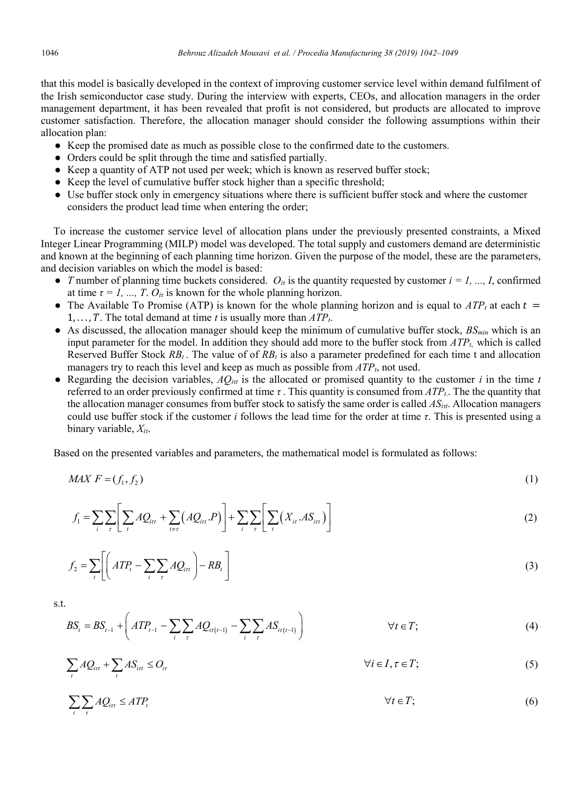that this model is basically developed in the context of improving customer service level within demand fulfilment of the Irish semiconductor case study. During the interview with experts, CEOs, and allocation managers in the order management department, it has been revealed that profit is not considered, but products are allocated to improve customer satisfaction. Therefore, the allocation manager should consider the following assumptions within their allocation plan:

- Keep the promised date as much as possible close to the confirmed date to the customers.
- Orders could be split through the time and satisfied partially.
- Keep a quantity of ATP not used per week; which is known as reserved buffer stock;
- Keep the level of cumulative buffer stock higher than a specific threshold;
- Use buffer stock only in emergency situations where there is sufficient buffer stock and where the customer considers the product lead time when entering the order;

To increase the customer service level of allocation plans under the previously presented constraints, a Mixed Integer Linear Programming (MILP) model was developed. The total supply and customers demand are deterministic and known at the beginning of each planning time horizon. Given the purpose of the model, these are the parameters, and decision variables on which the model is based:

- *T* number of planning time buckets considered.  $O_i$  is the quantity requested by customer  $i = 1, ..., I$ , confirmed at time  $\tau = 1$ , ..., T.  $O_i$  is known for the whole planning horizon.
- The Available To Promise (ATP) is known for the whole planning horizon and is equal to  $ATP<sub>t</sub>$  at each  $t =$ 1, ..., T. The total demand at time *t* is usually more than  $ATP_t$ .
- $\bullet$  As discussed, the allocation manager should keep the minimum of cumulative buffer stock, *BS<sub>min</sub>* which is an input parameter for the model. In addition they should add more to the buffer stock from  $ATP<sub>t</sub>$ , which is called Reserved Buffer Stock *RBt* . The value of of *RBt* is also a parameter predefined for each time t and allocation managers try to reach this level and keep as much as possible from  $ATP<sub>t</sub>$ , not used.
- Regarding the decision variables,  $AQ_{i\tau}$  is the allocated or promised quantity to the customer *i* in the time *t* referred to an order previously confirmed at time *τ* . This quantity is consumed from *ATPt*.. The the quantity that the allocation manager consumes from buffer stock to satisfy the same order is called *ASiτt*. Allocation managers could use buffer stock if the customer *i* follows the lead time for the order at time  $\tau$ . This is presented using a binary variable, *Xiτ*.

Based on the presented variables and parameters, the mathematical model is formulated as follows:

$$
MAX F = (f_1, f_2) \tag{1}
$$

$$
f_1 = \sum_{i} \sum_{\tau} \left[ \sum_{t} AQ_{i\tau t} + \sum_{t \neq \tau} (AQ_{i\tau t} . P) \right] + \sum_{i} \sum_{\tau} \left[ \sum_{t} (X_{i\tau} . AS_{i\tau t}) \right]
$$
(2)

$$
f_2 = \sum_{t} \left[ \left( ATP_t - \sum_{i} \sum_{\tau} AQ_{itt} \right) - RB_t \right]
$$
 (3)

s.t.

$$
BS_{t} = BS_{t-1} + \left(ATP_{t-1} - \sum_{i} \sum_{\tau} AQ_{i\tau(t-1)} - \sum_{i} \sum_{\tau} AS_{i\tau(t-1)}\right) \qquad \forall t \in T; \qquad (4)
$$

$$
\sum_{t} AQ_{itt} + \sum_{t} AS_{itt} \le O_{it} \qquad \qquad \forall i \in I, \tau \in T; \qquad (5)
$$

$$
\sum_{i} \sum_{\tau} A Q_{i\tau i} \le A T P_{i} \qquad \qquad \forall t \in T; \qquad (6)
$$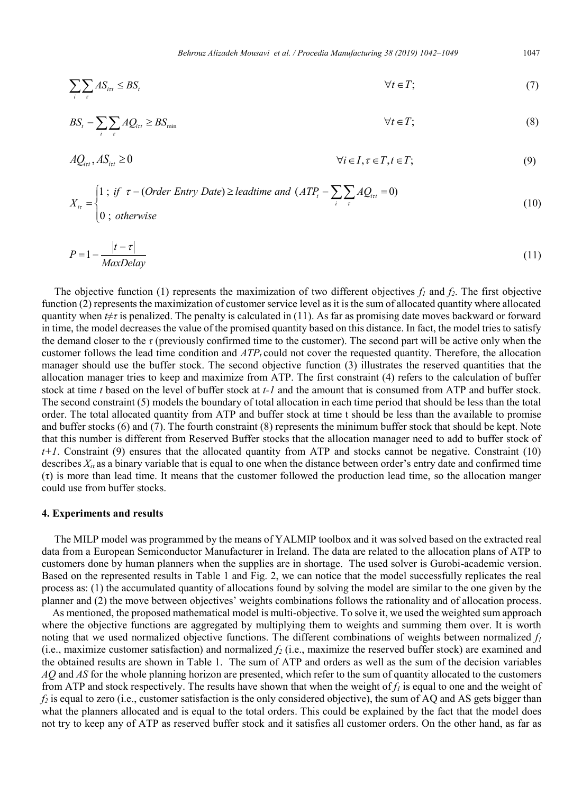$$
\sum_{i} \sum_{\tau} AS_{i\tau t} \leq BS_t \qquad \qquad \forall t \in T; \tag{7}
$$

$$
BS_t - \sum_{i} \sum_{\tau} A Q_{i\tau t} \geq BS_{\min} \qquad \qquad \forall t \in T; \qquad (8)
$$

$$
AQ_{\text{int}}, AS_{\text{int}} \ge 0 \qquad \forall i \in I, \tau \in T; \tag{9}
$$

$$
X_{i\tau} = \begin{cases} 1 \; ; \; if \; \tau - (Order \; Entry \; Date) \ge leading \; and \; (ATP_t - \sum_{i} \sum_{\tau} AQ_{i\tau t} = 0) \\ 0 \; ; \; otherwise \end{cases} \tag{10}
$$

$$
P = 1 - \frac{|t - \tau|}{MaxDelay} \tag{11}
$$

The objective function (1) represents the maximization of two different objectives  $f_l$  and  $f_2$ . The first objective function (2) represents the maximization of customer service level as it is the sum of allocated quantity where allocated quantity when *t≠τ* is penalized. The penalty is calculated in (11). As far as promising date moves backward or forward in time, the model decreases the value of the promised quantity based on this distance. In fact, the model tries to satisfy the demand closer to the *τ* (previously confirmed time to the customer). The second part will be active only when the customer follows the lead time condition and  $ATP<sub>t</sub>$  could not cover the requested quantity. Therefore, the allocation manager should use the buffer stock. The second objective function (3) illustrates the reserved quantities that the allocation manager tries to keep and maximize from ATP. The first constraint (4) refers to the calculation of buffer stock at time *t* based on the level of buffer stock at *t-1* and the amount that is consumed from ATP and buffer stock. The second constraint (5) models the boundary of total allocation in each time period that should be less than the total order. The total allocated quantity from ATP and buffer stock at time t should be less than the available to promise and buffer stocks (6) and (7). The fourth constraint (8) represents the minimum buffer stock that should be kept. Note that this number is different from Reserved Buffer stocks that the allocation manager need to add to buffer stock of *t+1*. Constraint (9) ensures that the allocated quantity from ATP and stocks cannot be negative. Constraint (10) describes  $X<sub>it</sub>$  as a binary variable that is equal to one when the distance between order's entry date and confirmed time (τ) is more than lead time. It means that the customer followed the production lead time, so the allocation manger could use from buffer stocks.

#### **4. Experiments and results**

The MILP model was programmed by the means of YALMIP toolbox and it was solved based on the extracted real data from a European Semiconductor Manufacturer in Ireland. The data are related to the allocation plans of ATP to customers done by human planners when the supplies are in shortage. The used solver is Gurobi-academic version. Based on the represented results in Table 1 and Fig. 2, we can notice that the model successfully replicates the real process as: (1) the accumulated quantity of allocations found by solving the model are similar to the one given by the planner and (2) the move between objectives' weights combinations follows the rationality and of allocation process.

 As mentioned, the proposed mathematical model is multi-objective. To solve it, we used the weighted sum approach where the objective functions are aggregated by multiplying them to weights and summing them over. It is worth noting that we used normalized objective functions. The different combinations of weights between normalized  $f_l$ (i.e., maximize customer satisfaction) and normalized *f2* (i.e., maximize the reserved buffer stock) are examined and the obtained results are shown in Table 1. The sum of ATP and orders as well as the sum of the decision variables *AQ* and *AS* for the whole planning horizon are presented, which refer to the sum of quantity allocated to the customers from ATP and stock respectively. The results have shown that when the weight of  $f<sub>l</sub>$  is equal to one and the weight of  $f_2$  is equal to zero (i.e., customer satisfaction is the only considered objective), the sum of AQ and AS gets bigger than what the planners allocated and is equal to the total orders. This could be explained by the fact that the model does not try to keep any of ATP as reserved buffer stock and it satisfies all customer orders. On the other hand, as far as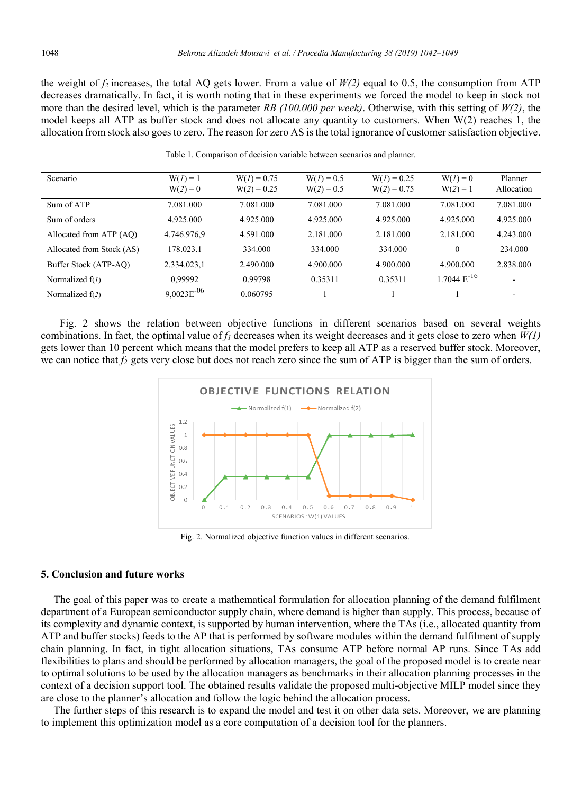the weight of  $f_2$  increases, the total AO gets lower. From a value of  $W(2)$  equal to 0.5, the consumption from ATP decreases dramatically. In fact, it is worth noting that in these experiments we forced the model to keep in stock not more than the desired level, which is the parameter *RB (100.000 per week)*. Otherwise, with this setting of *W(2)*, the model keeps all ATP as buffer stock and does not allocate any quantity to customers. When W(2) reaches 1, the allocation from stock also goes to zero. The reason for zero AS is the total ignorance of customer satisfaction objective.

| Scenario                  | $W(I) = 1$<br>$W(2) = 0$ | $W(I) = 0.75$<br>$W(2) = 0.25$ | $W(I) = 0.5$<br>$W(2) = 0.5$ | $W(I) = 0.25$<br>$W(2) = 0.75$ | $W(I) = 0$<br>$W(2) = 1$ | Planner<br>Allocation    |
|---------------------------|--------------------------|--------------------------------|------------------------------|--------------------------------|--------------------------|--------------------------|
| Sum of ATP                | 7.081.000                | 7.081.000                      | 7.081.000                    | 7.081.000                      | 7.081.000                | 7.081.000                |
| Sum of orders             | 4.925.000                | 4.925.000                      | 4.925.000                    | 4.925.000                      | 4.925.000                | 4.925.000                |
| Allocated from ATP (AO)   | 4.746.976,9              | 4.591.000                      | 2.181.000                    | 2.181.000                      | 2.181.000                | 4.243.000                |
| Allocated from Stock (AS) | 178.023.1                | 334.000                        | 334.000                      | 334.000                        | $\boldsymbol{0}$         | 234.000                  |
| Buffer Stock (ATP-AO)     | 2.334.023,1              | 2.490.000                      | 4.900.000                    | 4.900.000                      | 4.900.000                | 2.838.000                |
| Normalized $f(I)$         | 0.99992                  | 0.99798                        | 0.35311                      | 0.35311                        | $1.7044 E^{-16}$         |                          |
| Normalized $f(2)$         | $9,0023E^{-06}$          | 0.060795                       |                              |                                |                          | $\overline{\phantom{a}}$ |

Table 1. Comparison of decision variable between scenarios and planner.

 Fig. 2 shows the relation between objective functions in different scenarios based on several weights combinations. In fact, the optimal value of  $f_1$  decreases when its weight decreases and it gets close to zero when  $W(1)$ gets lower than 10 percent which means that the model prefers to keep all ATP as a reserved buffer stock. Moreover, we can notice that  $f_2$  gets very close but does not reach zero since the sum of ATP is bigger than the sum of orders.



Fig. 2. Normalized objective function values in different scenarios.

### **5. Conclusion and future works**

The goal of this paper was to create a mathematical formulation for allocation planning of the demand fulfilment department of a European semiconductor supply chain, where demand is higher than supply. This process, because of its complexity and dynamic context, is supported by human intervention, where the TAs (i.e., allocated quantity from ATP and buffer stocks) feeds to the AP that is performed by software modules within the demand fulfilment of supply chain planning. In fact, in tight allocation situations, TAs consume ATP before normal AP runs. Since TAs add flexibilities to plans and should be performed by allocation managers, the goal of the proposed model is to create near to optimal solutions to be used by the allocation managers as benchmarks in their allocation planning processes in the context of a decision support tool. The obtained results validate the proposed multi-objective MILP model since they are close to the planner's allocation and follow the logic behind the allocation process.

The further steps of this research is to expand the model and test it on other data sets. Moreover, we are planning to implement this optimization model as a core computation of a decision tool for the planners.